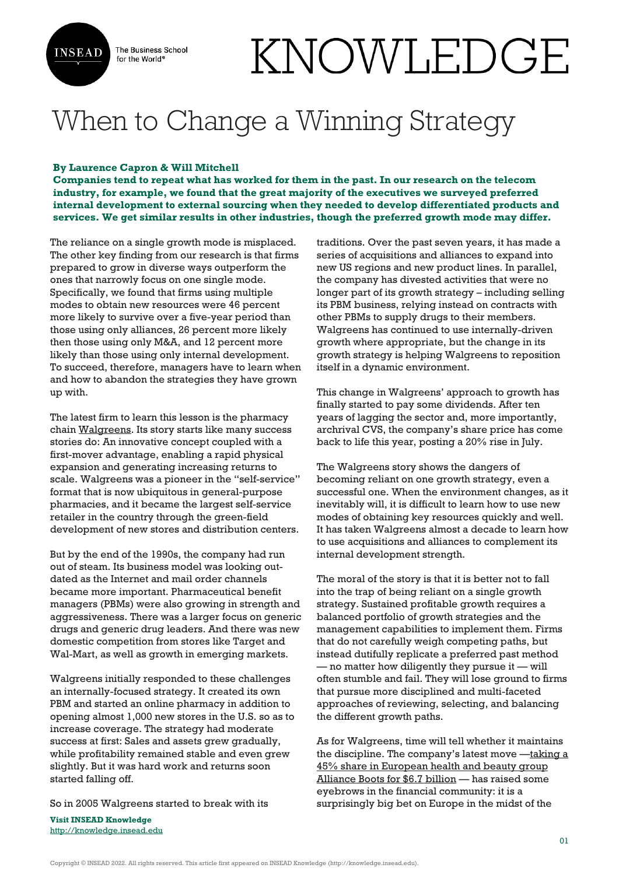

The Business School for the World<sup>®</sup>

## KNOWLEDGE

## When to Change a Winning Strategy

## **By Laurence Capron & Will Mitchell**

**Companies tend to repeat what has worked for them in the past. In our research on the telecom industry, for example, we found that the great majority of the executives we surveyed preferred internal development to external sourcing when they needed to develop differentiated products and services. We get similar results in other industries, though the preferred growth mode may differ.**

The reliance on a single growth mode is misplaced. The other key finding from our research is that firms prepared to grow in diverse ways outperform the ones that narrowly focus on one single mode. Specifically, we found that firms using multiple modes to obtain new resources were 46 percent more likely to survive over a five-year period than those using only alliances, 26 percent more likely then those using only M&A, and 12 percent more likely than those using only internal development. To succeed, therefore, managers have to learn when and how to abandon the strategies they have grown up with.

The latest firm to learn this lesson is the pharmacy chain [Walgreens](http://www.walgreens.com/). Its story starts like many success stories do: An innovative concept coupled with a first-mover advantage, enabling a rapid physical expansion and generating increasing returns to scale. Walgreens was a pioneer in the "self-service" format that is now ubiquitous in general-purpose pharmacies, and it became the largest self-service retailer in the country through the green-field development of new stores and distribution centers.

But by the end of the 1990s, the company had run out of steam. Its business model was looking outdated as the Internet and mail order channels became more important. Pharmaceutical benefit managers (PBMs) were also growing in strength and aggressiveness. There was a larger focus on generic drugs and generic drug leaders. And there was new domestic competition from stores like Target and Wal-Mart, as well as growth in emerging markets.

Walgreens initially responded to these challenges an internally-focused strategy. It created its own PBM and started an online pharmacy in addition to opening almost 1,000 new stores in the U.S. so as to increase coverage. The strategy had moderate success at first: Sales and assets grew gradually, while profitability remained stable and even grew slightly. But it was hard work and returns soon started falling off.

So in 2005 Walgreens started to break with its

**Visit INSEAD Knowledge** <http://knowledge.insead.edu>

traditions. Over the past seven years, it has made a series of acquisitions and alliances to expand into new US regions and new product lines. In parallel, the company has divested activities that were no longer part of its growth strategy – including selling its PBM business, relying instead on contracts with other PBMs to supply drugs to their members. Walgreens has continued to use internally-driven growth where appropriate, but the change in its growth strategy is helping Walgreens to reposition itself in a dynamic environment.

This change in Walgreens' approach to growth has finally started to pay some dividends. After ten years of lagging the sector and, more importantly, archrival CVS, the company's share price has come back to life this year, posting a 20% rise in July.

The Walgreens story shows the dangers of becoming reliant on one growth strategy, even a successful one. When the environment changes, as it inevitably will, it is difficult to learn how to use new modes of obtaining key resources quickly and well. It has taken Walgreens almost a decade to learn how to use acquisitions and alliances to complement its internal development strength.

The moral of the story is that it is better not to fall into the trap of being reliant on a single growth strategy. Sustained profitable growth requires a balanced portfolio of growth strategies and the management capabilities to implement them. Firms that do not carefully weigh competing paths, but instead dutifully replicate a preferred past method — no matter how diligently they pursue it — will often stumble and fail. They will lose ground to firms that pursue more disciplined and multi-faceted approaches of reviewing, selecting, and balancing the different growth paths.

As for Walgreens, time will tell whether it maintains the discipline. The company's latest move  $-\frac{taking}{a}$ [45% share in European health and beauty group](http://blogs.hbr.org/cs/2012/07/taking%20a%2045%%20share%20in%20European%20health%20and%20beauty%20group%20Alliance%20Boots%20for%20$6.7%20billion) [Alliance Boots for \\$6.7 billion](http://blogs.hbr.org/cs/2012/07/taking%20a%2045%%20share%20in%20European%20health%20and%20beauty%20group%20Alliance%20Boots%20for%20$6.7%20billion) — has raised some eyebrows in the financial community: it is a surprisingly big bet on Europe in the midst of the

Copyright © INSEAD 2022. All rights reserved. This article first appeared on INSEAD Knowledge (http://knowledge.insead.edu).